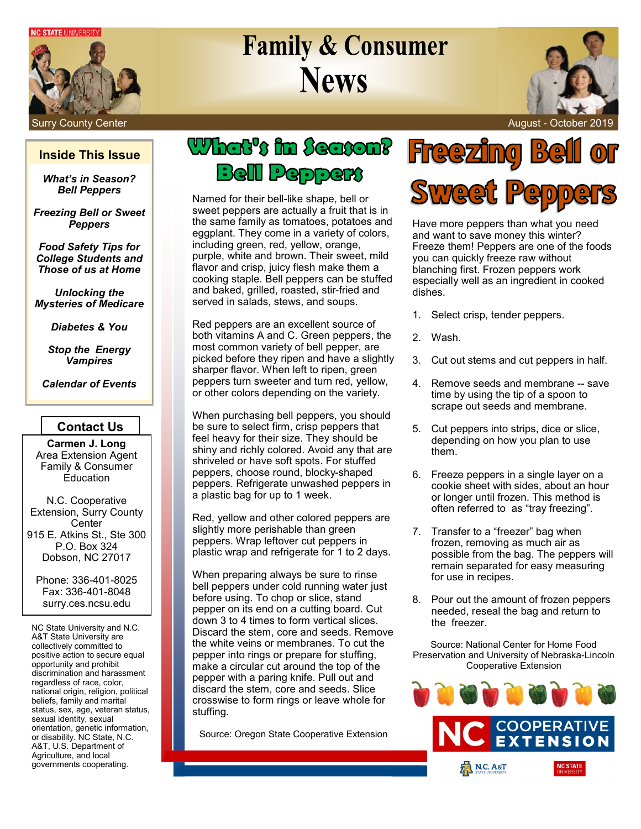**NC STATE UNIVERSITY** 



# **Family & Consumer News**



### Surry County Center August - October 2019

### **Inside This Issue**

*What's in Season? Bell Peppers*

*Freezing Bell or Sweet Peppers*

*Food Safety Tips for College Students and Those of us at Home*

*Unlocking the Mysteries of Medicare*

*Diabetes & You*

*Stop the Energy Vampires*

*Calendar of Events*

## **Contact Us**

**Carmen J. Long** Area Extension Agent Family & Consumer Education

N.C. Cooperative Extension, Surry County **Center** 915 E. Atkins St., Ste 300 P.O. Box 324 Dobson, NC 27017

Phone: 336-401-8025 Fax: 336-401-8048 surry.ces.ncsu.edu

NC State University and N.C. A&T State University are collectively committed to positive action to secure equal opportunity and prohibit discrimination and harassment regardless of race, color, national origin, religion, political beliefs, family and marital status, sex, age, veteran status, sexual identity, sexual orientation, genetic information, or disability. NC State, N.C. A&T, U.S. Department of Agriculture, and local governments cooperating.

# What's in Season? **Bell Peppers**

Named for their bell-like shape, bell or sweet peppers are actually a fruit that is in the same family as tomatoes, potatoes and eggplant. They come in a variety of colors, including green, red, yellow, orange, purple, white and brown. Their sweet, mild flavor and crisp, juicy flesh make them a cooking staple. Bell peppers can be stuffed and baked, grilled, roasted, stir-fried and served in salads, stews, and soups.

Red peppers are an excellent source of both vitamins A and C. Green peppers, the most common variety of bell pepper, are picked before they ripen and have a slightly sharper flavor. When left to ripen, green peppers turn sweeter and turn red, yellow, or other colors depending on the variety.

When purchasing bell peppers, you should be sure to select firm, crisp peppers that feel heavy for their size. They should be shiny and richly colored. Avoid any that are shriveled or have soft spots. For stuffed peppers, choose round, blocky-shaped peppers. Refrigerate unwashed peppers in a plastic bag for up to 1 week.

Red, yellow and other colored peppers are slightly more perishable than green peppers. Wrap leftover cut peppers in plastic wrap and refrigerate for 1 to 2 days.

When preparing always be sure to rinse bell peppers under cold running water just before using. To chop or slice, stand pepper on its end on a cutting board. Cut down 3 to 4 times to form vertical slices. Discard the stem, core and seeds. Remove the white veins or membranes. To cut the pepper into rings or prepare for stuffing, make a circular cut around the top of the pepper with a paring knife. Pull out and discard the stem, core and seeds. Slice crosswise to form rings or leave whole for stuffing.

Source: Oregon State Cooperative Extension



Have more peppers than what you need and want to save money this winter? Freeze them! Peppers are one of the foods you can quickly freeze raw without blanching first. Frozen peppers work especially well as an ingredient in cooked dishes.

- 1. Select crisp, tender peppers.
- 2. Wash.
- 3. Cut out stems and cut peppers in half.
- 4. Remove seeds and membrane -- save time by using the tip of a spoon to scrape out seeds and membrane.
- 5. Cut peppers into strips, dice or slice, depending on how you plan to use them.
- 6. Freeze peppers in a single layer on a cookie sheet with sides, about an hour or longer until frozen. This method is often referred to as "tray freezing".
- 7. Transfer to a "freezer" bag when frozen, removing as much air as possible from the bag. The peppers will remain separated for easy measuring for use in recipes.
- 8. Pour out the amount of frozen peppers needed, reseal the bag and return to the freezer.

Source: National Center for Home Food Preservation and University of Nebraska-Lincoln Cooperative Extension

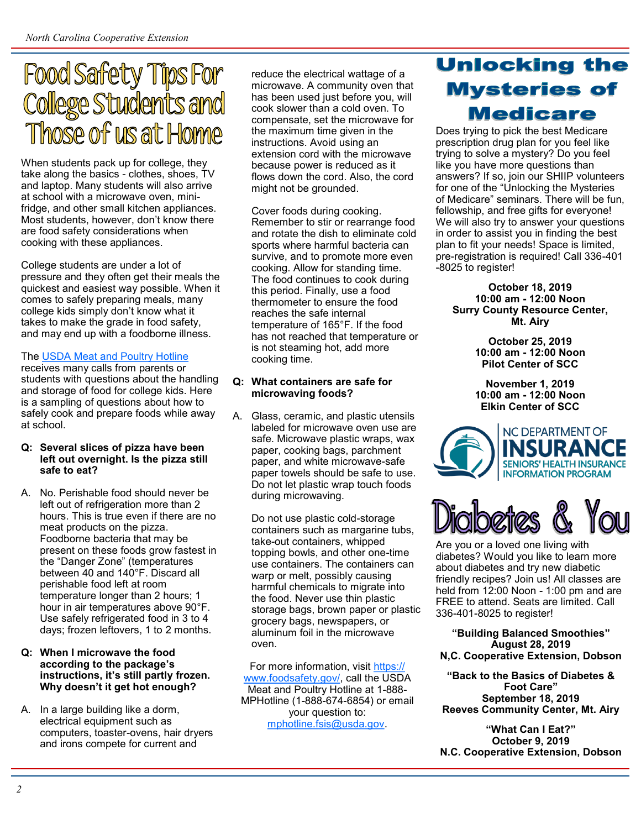# **Food Safety Tips For College Students and** Those of us at Home

When students pack up for college, they take along the basics - clothes, shoes, TV and laptop. Many students will also arrive at school with a microwave oven, minifridge, and other small kitchen appliances. Most students, however, don't know there are food safety considerations when cooking with these appliances.

College students are under a lot of pressure and they often get their meals the quickest and easiest way possible. When it comes to safely preparing meals, many college kids simply don't know what it takes to make the grade in food safety, and may end up with a foodborne illness.

### The [USDA Meat and Poultry Hotline](https://www.fsis.usda.gov/wps/portal/fsis/topics/food-safety-education/get-answers/food-safety-fact-sheets/safe-food-handling/food-safety-tips-for-college-students/!ut/p/a1/jVHRTsIwFP0WH8aL6doxJGCyGLJoBGWELOrYiylbuzUZ7WzvwPn1FpAHDChtmtyee056zi1OcYJTSdeioCC)

receives many calls from parents or students with questions about the handling and storage of food for college kids. Here is a sampling of questions about how to safely cook and prepare foods while away at school.

### **Q: Several slices of pizza have been left out overnight. Is the pizza still safe to eat?**

A. No. Perishable food should never be left out of refrigeration more than 2 hours. This is true even if there are no meat products on the pizza. Foodborne bacteria that may be present on these foods grow fastest in the "Danger Zone" (temperatures between 40 and 140°F. Discard all perishable food left at room temperature longer than 2 hours; 1 hour in air temperatures above 90°F. Use safely refrigerated food in 3 to 4 days; frozen leftovers, 1 to 2 months.

### **Q: When I microwave the food according to the package's instructions, it's still partly frozen. Why doesn't it get hot enough?**

A. In a large building like a dorm, electrical equipment such as computers, toaster-ovens, hair dryers and irons compete for current and

reduce the electrical wattage of a microwave. A community oven that has been used just before you, will cook slower than a cold oven. To compensate, set the microwave for the maximum time given in the instructions. Avoid using an extension cord with the microwave because power is reduced as it flows down the cord. Also, the cord might not be grounded.

Cover foods during cooking. Remember to stir or rearrange food and rotate the dish to eliminate cold sports where harmful bacteria can survive, and to promote more even cooking. Allow for standing time. The food continues to cook during this period. Finally, use a food thermometer to ensure the food reaches the safe internal temperature of 165°F. If the food has not reached that temperature or is not steaming hot, add more cooking time.

### **Q: What containers are safe for microwaving foods?**

A. Glass, ceramic, and plastic utensils labeled for microwave oven use are safe. Microwave plastic wraps, wax paper, cooking bags, parchment paper, and white microwave-safe paper towels should be safe to use. Do not let plastic wrap touch foods during microwaving.

Do not use plastic cold-storage containers such as margarine tubs, take-out containers, whipped topping bowls, and other one-time use containers. The containers can warp or melt, possibly causing harmful chemicals to migrate into the food. Never use thin plastic storage bags, brown paper or plastic grocery bags, newspapers, or aluminum foil in the microwave oven.

For more information, visit [https://](https://www.foodsafety.gov/) [www.foodsafety.gov/,](https://www.foodsafety.gov/) call the USDA Meat and Poultry Hotline at 1-888- MPHotline (1-888-674-6854) or email your question to: [mphotline.fsis@usda.gov.](mailto:mphotline.fsis@usda.gov)

# **Unlocking the Mysteries of Medicare**

Does trying to pick the best Medicare prescription drug plan for you feel like trying to solve a mystery? Do you feel like you have more questions than answers? If so, join our SHIIP volunteers for one of the "Unlocking the Mysteries of Medicare" seminars. There will be fun, fellowship, and free gifts for everyone! We will also try to answer your questions in order to assist you in finding the best plan to fit your needs! Space is limited, pre-registration is required! Call 336-401 -8025 to register!

**October 18, 2019 10:00 am - 12:00 Noon Surry County Resource Center, Mt. Airy**

> **October 25, 2019 10:00 am - 12:00 Noon Pilot Center of SCC**

**November 1, 2019 10:00 am - 12:00 Noon Elkin Center of SCC**





Are you or a loved one living with diabetes? Would you like to learn more about diabetes and try new diabetic friendly recipes? Join us! All classes are held from 12:00 Noon - 1:00 pm and are FREE to attend. Seats are limited. Call 336-401-8025 to register!

**"Building Balanced Smoothies" August 28, 2019 N,C. Cooperative Extension, Dobson**

**"Back to the Basics of Diabetes & Foot Care" September 18, 2019 Reeves Community Center, Mt. Airy**

**"What Can I Eat?" October 9, 2019 N.C. Cooperative Extension, Dobson**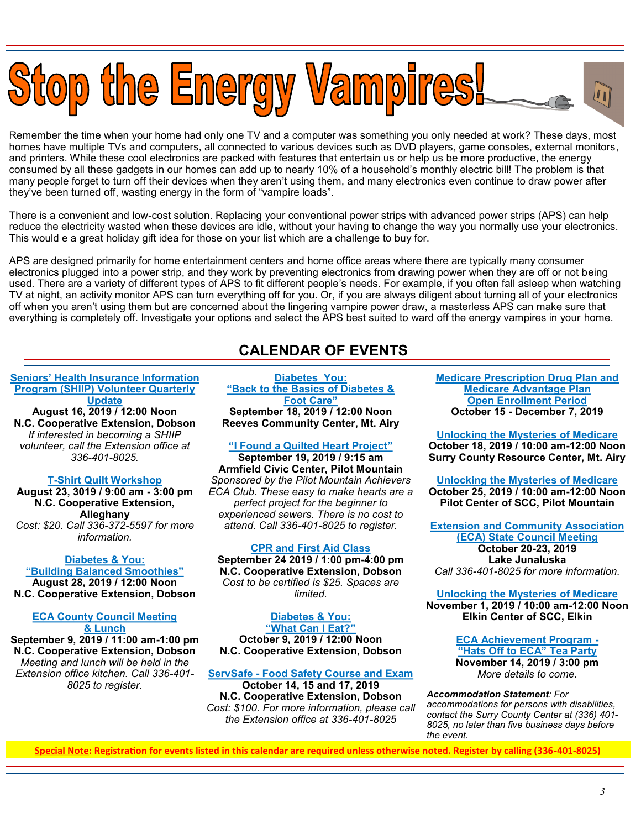

Remember the time when your home had only one TV and a computer was something you only needed at work? These days, most homes have multiple TVs and computers, all connected to various devices such as DVD players, game consoles, external monitors, and printers. While these cool electronics are packed with features that entertain us or help us be more productive, the energy consumed by all these gadgets in our homes can add up to nearly 10% of a household's monthly electric bill! The problem is that many people forget to turn off their devices when they aren't using them, and many electronics even continue to draw power after they've been turned off, wasting energy in the form of "vampire loads".

There is a convenient and low-cost solution. Replacing your conventional power strips with advanced power strips (APS) can help reduce the electricity wasted when these devices are idle, without your having to change the way you normally use your electronics. This would e a great holiday gift idea for those on your list which are a challenge to buy for.

APS are designed primarily for home entertainment centers and home office areas where there are typically many consumer electronics plugged into a power strip, and they work by preventing electronics from drawing power when they are off or not being used. There are a variety of different types of APS to fit different people's needs. For example, if you often fall asleep when watching TV at night, an activity monitor APS can turn everything off for you. Or, if you are always diligent about turning all of your electronics off when you aren't using them but are concerned about the lingering vampire power draw, a masterless APS can make sure that everything is completely off. Investigate your options and select the APS best suited to ward off the energy vampires in your home.

## **CALENDAR OF EVENTS**

### **Seniors' Health Insurance Information Program (SHIIP) Volunteer Quarterly Update**

**August 16, 2019 / 12:00 Noon N.C. Cooperative Extension, Dobson** *If interested in becoming a SHIIP volunteer, call the Extension office at 336-401-8025.*

### **T-Shirt Quilt Workshop**

**August 23, 3019 / 9:00 am - 3:00 pm N.C. Cooperative Extension, Alleghany** *Cost: \$20. Call 336-372-5597 for more information.*

**[Diabetes & You:](https://events.r20.constantcontact.com/register/eventReg?oeidk=a07egcf05v134c1971e&oseq=&c=&ch=) "[Building Balanced Smoothies](https://events.r20.constantcontact.com/register/eventReg?oeidk=a07egcf05v134c1971e&oseq=&c=&ch=)" August 28, 2019 / 12:00 Noon N.C. Cooperative Extension, Dobson**

### **ECA County Council Meeting & Lunch**

**September 9, 2019 / 11:00 am-1:00 pm N.C. Cooperative Extension, Dobson** *Meeting and lunch will be held in the Extension office kitchen. Call 336-401- 8025 to register.*

**[Diabetes You:](https://events.r20.constantcontact.com/register/eventReg?oeidk=a07egdsvwmg9ab57de5&oseq=&c=&ch=) "[Back to the Basics of Diabetes &](https://events.r20.constantcontact.com/register/eventReg?oeidk=a07egdsvwmg9ab57de5&oseq=&c=&ch=)  [Foot Care](https://events.r20.constantcontact.com/register/eventReg?oeidk=a07egdsvwmg9ab57de5&oseq=&c=&ch=)" September 18, 2019 / 12:00 Noon Reeves Community Center, Mt. Airy**

### **"I Found a Quilted Heart Project"**

**September 19, 2019 / 9:15 am Armfield Civic Center, Pilot Mountain** *Sponsored by the Pilot Mountain Achievers ECA Club. These easy to make hearts are a perfect project for the beginner to experienced sewers. There is no cost to attend. Call 336-401-8025 to register.*

### **CPR and First Aid Class**

**September 24 2019 / 1:00 pm-4:00 pm N.C. Cooperative Extension, Dobson** *Cost to be certified is \$25. Spaces are limited.*

**[Diabetes & You:](https://events.r20.constantcontact.com/register/eventReg?oeidk=a07egdsxezi9412eb4a&oseq=&c=&ch=) "[What Can I Eat?](https://events.r20.constantcontact.com/register/eventReg?oeidk=a07egdsxezi9412eb4a&oseq=&c=&ch=)" October 9, 2019 / 12:00 Noon N.C. Cooperative Extension, Dobson**

#### **ServSafe - Food Safety Course and Exam October 14, 15 and 17, 2019**

**N.C. Cooperative Extension, Dobson** *Cost: \$100. For more information, please call the Extension office at 336-401-8025*

**Medicare Prescription Drug Plan and Medicare Advantage Plan Open Enrollment Period October 15 - December 7, 2019**

**[Unlocking the Mysteries of Medicare](https://events.r20.constantcontact.com/register/eventReg?oeidk=a07egh8hkvw70eeaf00&oseq=&c=&ch=) October 18, 2019 / 10:00 am-12:00 Noon Surry County Resource Center, Mt. Airy**

**[Unlocking the Mysteries of Medicare](https://events.r20.constantcontact.com/register/eventReg?oeidk=a07egh8hl2l64e5c76f&oseq=&c=&ch=) October 25, 2019 / 10:00 am-12:00 Noon Pilot Center of SCC, Pilot Mountain**

**Extension and Community Association (ECA) State Council Meeting October 20-23, 2019 Lake Junaluska** *Call 336-401-8025 for more information.*

#### **[Unlocking the Mysteries of Medicare](https://events.r20.constantcontact.com/register/eventReg?oeidk=a07egh8hldobf00c50d&oseq=&c=&ch=) November 1, 2019 / 10:00 am-12:00 Noon Elkin Center of SCC, Elkin**

**ECA Achievement Program - "Hats Off to ECA" Tea Party November 14, 2019 / 3:00 pm** *More details to come.*

*Accommodation Statement: For accommodations for persons with disabilities, contact the Surry County Center at (336) 401- 8025, no later than five business days before the event.*

**Special Note: Registration for events listed in this calendar are required unless otherwise noted. Register by calling (336-401-8025)**